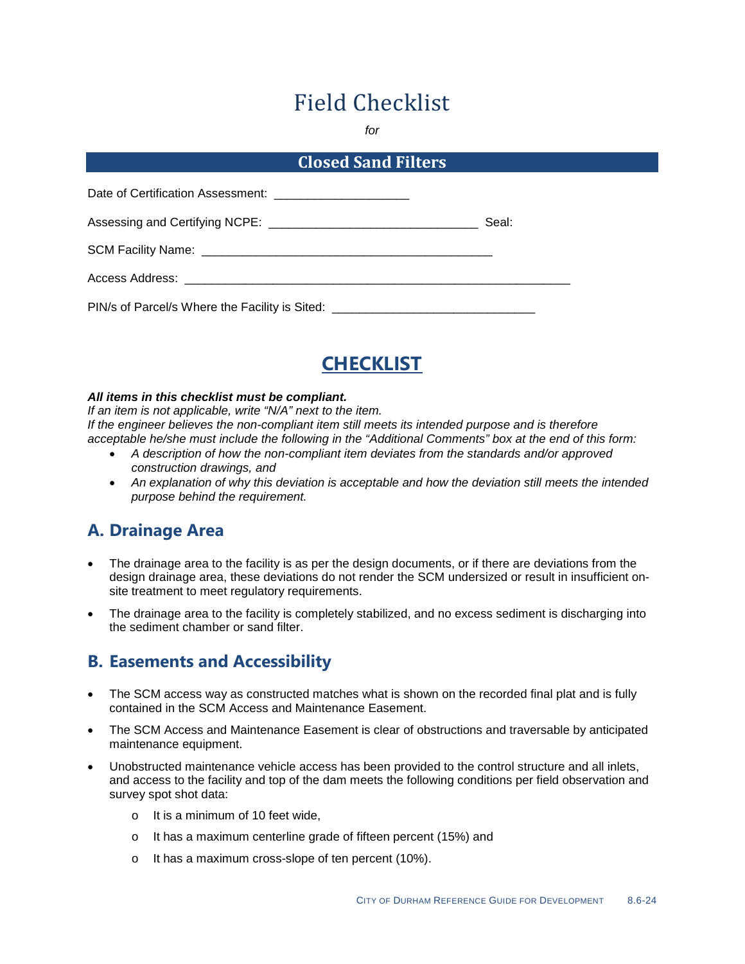# Field Checklist

*for*

#### **Closed Sand Filters**

| Date of Certification Assessment: ___________________________ |       |
|---------------------------------------------------------------|-------|
|                                                               | Seal: |
|                                                               |       |
|                                                               |       |
| PIN/s of Parcel/s Where the Facility is Sited: ___            |       |



#### *All items in this checklist must be compliant.*

*If an item is not applicable, write "N/A" next to the item. If the engineer believes the non-compliant item still meets its intended purpose and is therefore acceptable he/she must include the following in the "Additional Comments" box at the end of this form:*

- *A description of how the non-compliant item deviates from the standards and/or approved construction drawings, and*
- *An explanation of why this deviation is acceptable and how the deviation still meets the intended purpose behind the requirement.*

## **A. Drainage Area**

- The drainage area to the facility is as per the design documents, or if there are deviations from the design drainage area, these deviations do not render the SCM undersized or result in insufficient onsite treatment to meet regulatory requirements.
- The drainage area to the facility is completely stabilized, and no excess sediment is discharging into the sediment chamber or sand filter.

### **B. Easements and Accessibility**

- The SCM access way as constructed matches what is shown on the recorded final plat and is fully contained in the SCM Access and Maintenance Easement.
- The SCM Access and Maintenance Easement is clear of obstructions and traversable by anticipated maintenance equipment.
- Unobstructed maintenance vehicle access has been provided to the control structure and all inlets, and access to the facility and top of the dam meets the following conditions per field observation and survey spot shot data:
	- o It is a minimum of 10 feet wide,
	- o It has a maximum centerline grade of fifteen percent (15%) and
	- o It has a maximum cross-slope of ten percent (10%).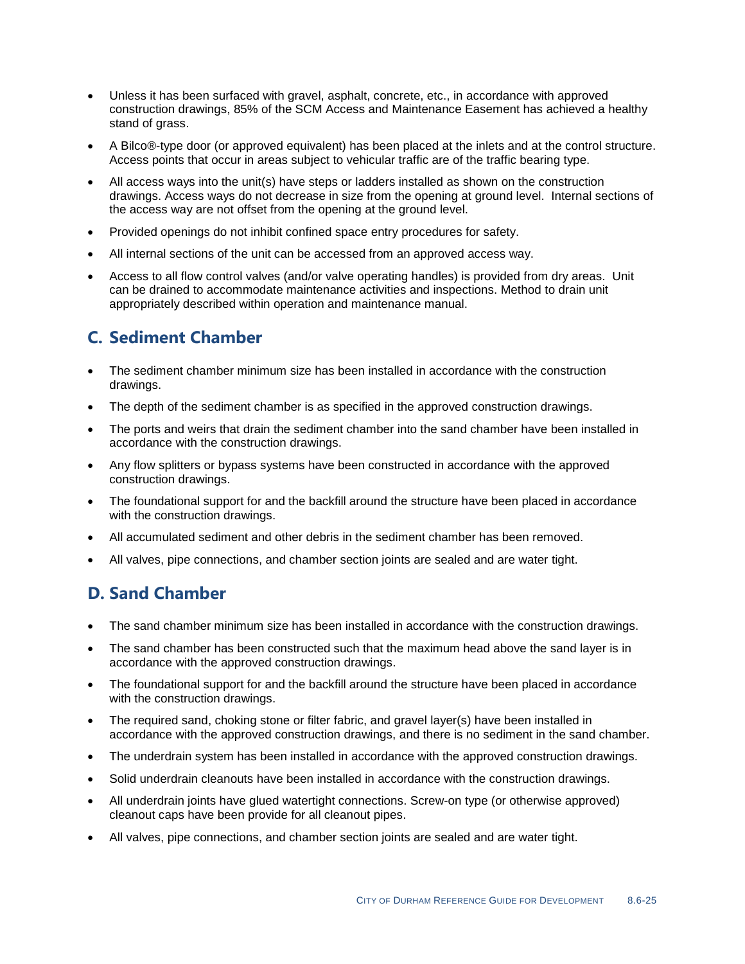- Unless it has been surfaced with gravel, asphalt, concrete, etc., in accordance with approved construction drawings, 85% of the SCM Access and Maintenance Easement has achieved a healthy stand of grass.
- A Bilco®-type door (or approved equivalent) has been placed at the inlets and at the control structure. Access points that occur in areas subject to vehicular traffic are of the traffic bearing type.
- All access ways into the unit(s) have steps or ladders installed as shown on the construction drawings. Access ways do not decrease in size from the opening at ground level. Internal sections of the access way are not offset from the opening at the ground level.
- Provided openings do not inhibit confined space entry procedures for safety.
- All internal sections of the unit can be accessed from an approved access way.
- Access to all flow control valves (and/or valve operating handles) is provided from dry areas. Unit can be drained to accommodate maintenance activities and inspections. Method to drain unit appropriately described within operation and maintenance manual.

## **C. Sediment Chamber**

- The sediment chamber minimum size has been installed in accordance with the construction drawings.
- The depth of the sediment chamber is as specified in the approved construction drawings.
- The ports and weirs that drain the sediment chamber into the sand chamber have been installed in accordance with the construction drawings.
- Any flow splitters or bypass systems have been constructed in accordance with the approved construction drawings.
- The foundational support for and the backfill around the structure have been placed in accordance with the construction drawings.
- All accumulated sediment and other debris in the sediment chamber has been removed.
- All valves, pipe connections, and chamber section joints are sealed and are water tight.

## **D. Sand Chamber**

- The sand chamber minimum size has been installed in accordance with the construction drawings.
- The sand chamber has been constructed such that the maximum head above the sand layer is in accordance with the approved construction drawings.
- The foundational support for and the backfill around the structure have been placed in accordance with the construction drawings.
- The required sand, choking stone or filter fabric, and gravel layer(s) have been installed in accordance with the approved construction drawings, and there is no sediment in the sand chamber.
- The underdrain system has been installed in accordance with the approved construction drawings.
- Solid underdrain cleanouts have been installed in accordance with the construction drawings.
- All underdrain joints have glued watertight connections. Screw-on type (or otherwise approved) cleanout caps have been provide for all cleanout pipes.
- All valves, pipe connections, and chamber section joints are sealed and are water tight.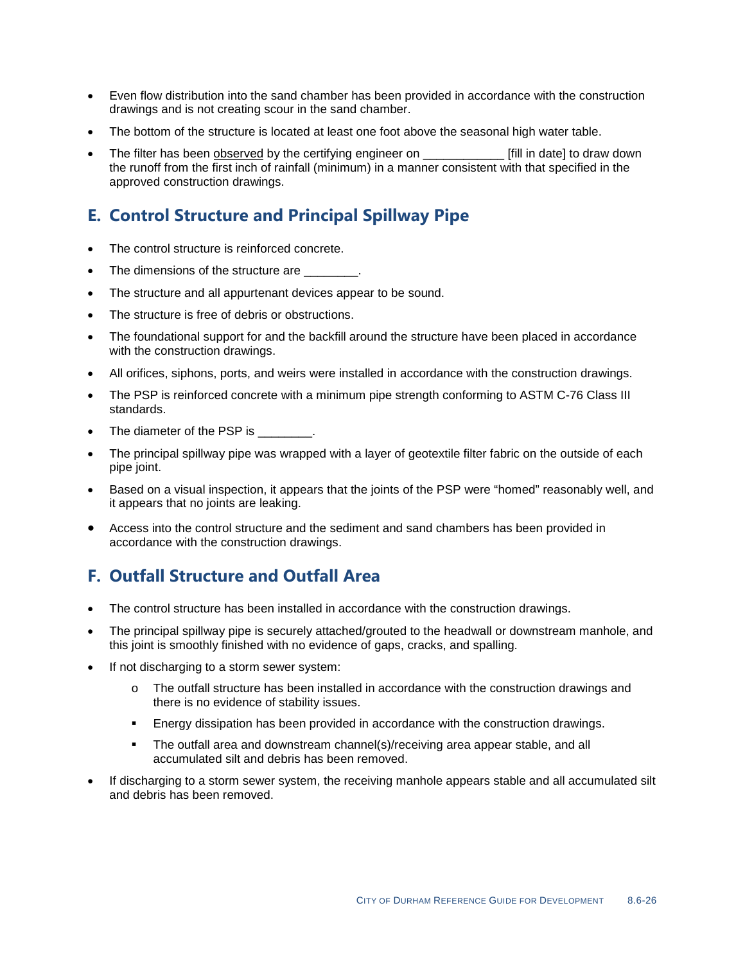- Even flow distribution into the sand chamber has been provided in accordance with the construction drawings and is not creating scour in the sand chamber.
- The bottom of the structure is located at least one foot above the seasonal high water table.
- The filter has been observed by the certifying engineer on **Fill** in date to draw down the runoff from the first inch of rainfall (minimum) in a manner consistent with that specified in the approved construction drawings.

## **E. Control Structure and Principal Spillway Pipe**

- The control structure is reinforced concrete.
- The dimensions of the structure are
- The structure and all appurtenant devices appear to be sound.
- The structure is free of debris or obstructions.
- The foundational support for and the backfill around the structure have been placed in accordance with the construction drawings.
- All orifices, siphons, ports, and weirs were installed in accordance with the construction drawings.
- The PSP is reinforced concrete with a minimum pipe strength conforming to ASTM C-76 Class III standards.
- The diameter of the PSP is  $\qquad \qquad$ .
- The principal spillway pipe was wrapped with a layer of geotextile filter fabric on the outside of each pipe joint.
- Based on a visual inspection, it appears that the joints of the PSP were "homed" reasonably well, and it appears that no joints are leaking.
- Access into the control structure and the sediment and sand chambers has been provided in accordance with the construction drawings.

## **F. Outfall Structure and Outfall Area**

- The control structure has been installed in accordance with the construction drawings.
- The principal spillway pipe is securely attached/grouted to the headwall or downstream manhole, and this joint is smoothly finished with no evidence of gaps, cracks, and spalling.
- If not discharging to a storm sewer system:
	- o The outfall structure has been installed in accordance with the construction drawings and there is no evidence of stability issues.
	- Energy dissipation has been provided in accordance with the construction drawings.
	- The outfall area and downstream channel(s)/receiving area appear stable, and all accumulated silt and debris has been removed.
- If discharging to a storm sewer system, the receiving manhole appears stable and all accumulated silt and debris has been removed.